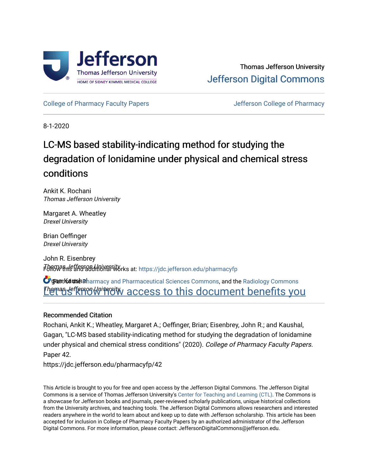

[College of Pharmacy Faculty Papers](https://jdc.jefferson.edu/pharmacyfp) **College of Pharmacy** Jefferson College of Pharmacy

8-1-2020

# LC-MS based stability-indicating method for studying the degradation of lonidamine under physical and chemical stress conditions

Ankit K. Rochani Thomas Jefferson University

Margaret A. Wheatley Drexel University

Brian Oeffinger Drexel University

John R. Eisenbrey Thomas Jefferson University Follow this and additional works at: [https://jdc.jefferson.edu/pharmacyfp](https://jdc.jefferson.edu/pharmacyfp?utm_source=jdc.jefferson.edu%2Fpharmacyfp%2F42&utm_medium=PDF&utm_campaign=PDFCoverPages)

**C** gant Kaushal armacy and Pharmaceutical Sciences Commons, and the Radiology Commons **Themas lefferson Wiversity access to this document benefits you** 

# Recommended Citation

Rochani, Ankit K.; Wheatley, Margaret A.; Oeffinger, Brian; Eisenbrey, John R.; and Kaushal, Gagan, "LC-MS based stability-indicating method for studying the degradation of lonidamine under physical and chemical stress conditions" (2020). College of Pharmacy Faculty Papers. Paper 42.

https://jdc.jefferson.edu/pharmacyfp/42

This Article is brought to you for free and open access by the Jefferson Digital Commons. The Jefferson Digital Commons is a service of Thomas Jefferson University's [Center for Teaching and Learning \(CTL\)](http://www.jefferson.edu/university/teaching-learning.html/). The Commons is a showcase for Jefferson books and journals, peer-reviewed scholarly publications, unique historical collections from the University archives, and teaching tools. The Jefferson Digital Commons allows researchers and interested readers anywhere in the world to learn about and keep up to date with Jefferson scholarship. This article has been accepted for inclusion in College of Pharmacy Faculty Papers by an authorized administrator of the Jefferson Digital Commons. For more information, please contact: JeffersonDigitalCommons@jefferson.edu.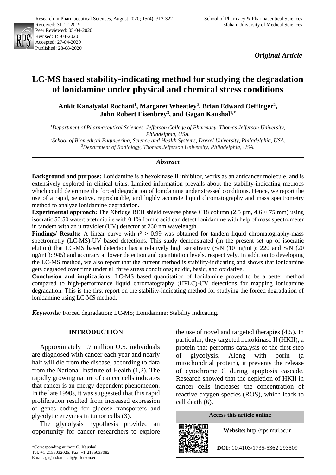

*Original Article*

# **LC-MS based stability-indicating method for studying the degradation of lonidamine under physical and chemical stress conditions**

**Ankit Kanaiyalal Rochani1, Margaret Wheatley2, Brian Edward Oeffinger2,**  John Robert Eisenbrey<sup>3</sup>, and Gagan Kaushal<sup>1,\*</sup>

*1 Department of Pharmaceutical Sciences, Jefferson College of Pharmacy, Thomas Jefferson University, Philadelphia, USA.*

*2 School of Biomedical Engineering, Science and Health Systems, Drexel University, Philadelphia, USA. 3 Department of Radiology, Thomas Jefferson University, Philadelphia, USA.*

# *Abstract*

**Background and purpose:** Lonidamine is a hexokinase II inhibitor, works as an anticancer molecule, and is extensively explored in clinical trials. Limited information prevails about the stability-indicating methods which could determine the forced degradation of lonidamine under stressed conditions. Hence, we report the use of a rapid, sensitive, reproducible, and highly accurate liquid chromatography and mass spectrometry method to analyze lonidamine degradation.

**Experimental approach:** The Xbridge BEH shield reverse phase C18 column (2.5 µm, 4.6 × 75 mm) using isocratic 50:50 water: acetonitrile with 0.1% formic acid can detect lonidamine with help of mass spectrometer in tandem with an ultraviolet (UV) detector at 260 nm wavelength.

**Findings/ Results:** A linear curve with  $r^2 > 0.99$  was obtained for tandem liquid chromatography-mass spectrometry (LC-MS)-UV based detections. This study demonstrated (in the present set up of isocratic elution) that LC-MS based detection has a relatively high sensitivity (S/N (10 ng/mL): 220 and S/N (20 ng/mL): 945) and accuracy at lower detection and quantitation levels, respectively. In addition to developing the LC-MS method, we also report that the current method is stability-indicating and shows that lonidamine gets degraded over time under all three stress conditions; acidic, basic, and oxidative.

**Conclusion and implications:** LC-MS based quantitation of lonidamine proved to be a better method compared to high-performance liquid chromatography (HPLC)-UV detections for mapping lonidamine degradation. This is the first report on the stability-indicating method for studying the forced degradation of lonidamine using LC-MS method.

*Keywords:* Forced degradation; LC-MS; Lonidamine; Stability indicating.

# **INTRODUCTION**

Approximately 1.7 million U.S. individuals are diagnosed with cancer each year and nearly half will die from the disease, according to data from the National Institute of Health (1,2). The rapidly growing nature of cancer cells indicates that cancer is an energy-dependent phenomenon. In the late 1990s, it was suggested that this rapid proliferation resulted from increased expression of genes coding for glucose transporters and glycolytic enzymes in tumor cells (3).

The glycolysis hypothesis provided an opportunity for cancer researchers to explore the use of novel and targeted therapies (4,5). In particular, they targeted hexokinase II (HKII), a protein that performs catalysis of the first step of glycolysis. Along with porin (a mitochondrial protein), it prevents the release of cytochrome C during apoptosis cascade. Research showed that the depletion of HKII in cancer cells increases the concentration of reactive oxygen species (ROS), which leads to cell death (6).

| Access this article online |                                      |  |  |
|----------------------------|--------------------------------------|--|--|
|                            | Website: http://rps.mui.ac.ir        |  |  |
|                            | <b>DOI:</b> 10.4103/1735-5362.293509 |  |  |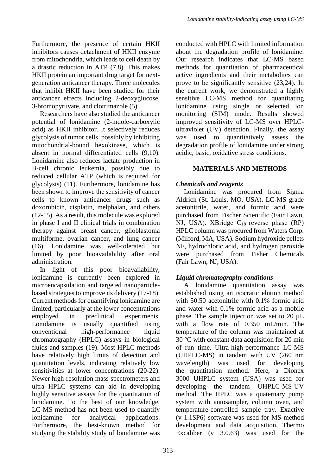Furthermore, the presence of certain HKII inhibitors causes detachment of HKII enzyme from mitochondria, which leads to cell death by a drastic reduction in ATP (7,8). This makes HKII protein an important drug target for nextgeneration anticancer therapy. Three molecules that inhibit HKII have been studied for their anticancer effects including 2-deoxyglucose, 3-bromopyruvate, and clotrimazole (5).

Researchers have also studied the anticancer potential of lonidamine (2-indole-carboxylic acid) as HKII inhibitor. It selectively reduces glycolysis of tumor cells, possibly by inhibiting mitochondrial-bound hexokinase, which is absent in normal differentiated cells (9,10). Lonidamine also reduces lactate production in B-cell chronic leukemia, possibly due to reduced cellular ATP (which is required for glycolysis) (11). Furthermore, lonidamine has been shown to improve the sensitivity of cancer cells to known anticancer drugs such as doxorubicin, cisplatin, melphalan, and others (12-15). As a result, this molecule was explored in phase I and II clinical trials in combination therapy against breast cancer, glioblastoma multiforme, ovarian cancer, and lung cancer (16). Lonidamine was well-tolerated but limited by poor bioavailability after oral administration.

In light of this poor bioavailability, lonidamine is currently been explored in microencapsulation and targeted nanoparticlebased strategies to improve its delivery (17-18). Current methods for quantifying lonidamine are limited, particularly at the lower concentrations employed in preclinical experiments.<br>
Lonidamine is usually quantified using usually quantified using conventional high-performance liquid chromatography (HPLC) assays in biological fluids and samples (19). Most HPLC methods have relatively high limits of detection and quantitation levels, indicating relatively low sensitivities at lower concentrations (20-22). Newer high-resolution mass spectrometers and ultra HPLC systems can aid in developing highly sensitive assays for the quantitation of lonidamine. To the best of our knowledge, LC-MS method has not been used to quantify lonidamine for analytical applications. Furthermore, the best-known method for studying the stability study of lonidamine was conducted with HPLC with limited information about the degradation profile of lonidamine. Our research indicates that LC-MS based methods for quantitation of pharmaceutical active ingredients and their metabolites can prove to be significantly sensitive (23,24). In the current work, we demonstrated a highly sensitive LC-MS method for quantitating lonidamine using single or selected ion monitoring (SIM) mode. Results showed improved sensitivity of LC-MS over HPLCultraviolet (UV) detection. Finally, the assay was used to quantitatively assess the degradation profile of lonidamine under strong acidic, basic, oxidative stress conditions.

# **MATERIALS AND METHODS**

# *Chemicals and reagents*

Lonidamine was procured from Sigma Aldrich (St. Louis, MO, USA). LC-MS grade acetonitrile, water, and formic acid were purchased from Fischer Scientific (Fair Lawn, NJ, USA). XBridge C18 reverse phase (RP) HPLC column was procured from Waters Corp. (Milford, MA, USA). Sodium hydroxide pellets NF, hydrochloric acid, and hydrogen peroxide were purchased from Fisher Chemicals (Fair Lawn, NJ, USA).

# *Liquid chromatography conditions*

A lonidamine quantitation assay was established using an isocratic elution method with 50:50 acetonitrile with 0.1% formic acid and water with 0.1% formic acid as a mobile phase. The sample injection was set to 20 µL with a flow rate of 0.350 mL/min. The temperature of the column was maintained at 30 °C with constant data acquisition for 20 min of run time. Ultra-high-performance LC-MS (UHPLC-MS) in tandem with UV (260 nm wavelength) was used for developing the quantitation method. Here, a Dionex 3000 UHPLC system (USA) was used for developing the tandem UHPLC-MS-UV method. The HPLC was a quaternary pump system with autosampler, column oven, and temperature-controlled sample tray. Exactive (v 1.1SP6) software was used for MS method development and data acquisition. Thermo Excaliber (v 3.0.63) was used for the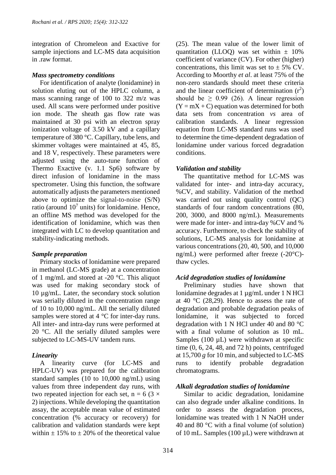integration of Chromeleon and Exactive for sample injections and LC-MS data acquisition in .raw format.

# *Mass spectrometry conditions*

For identification of analyte (lonidamine) in solution eluting out of the HPLC column, a mass scanning range of 100 to 322 m/z was used. All scans were performed under positive ion mode. The sheath gas flow rate was maintained at 30 psi with an electron spray ionization voltage of 3.50 kV and a capillary temperature of 380 °C. Capillary, tube lens, and skimmer voltages were maintained at 45, 85, and 18 V, respectively. These parameters were adjusted using the auto-tune function of Thermo Exactive (v. 1.1 Sp6) software by direct infusion of lonidamine in the mass spectrometer. Using this function, the software automatically adjusts the parameters mentioned above to optimize the signal-to-noise (S/N) ratio (around  $10<sup>7</sup>$  units) for lonidamine. Hence, an offline MS method was developed for the identification of lonidamine, which was then integrated with LC to develop quantitation and stability-indicating methods.

# *Sample preparation*

Primary stocks of lonidamine were prepared in methanol (LC-MS grade) at a concentration of 1 mg/mL and stored at -20 °C. This aliquot was used for making secondary stock of 10 µg/mL. Later, the secondary stock solution was serially diluted in the concentration range of 10 to 10,000 ng/mL. All the serially diluted samples were stored at 4 °C for inter-day runs. All inter- and intra-day runs were performed at 20 °C. All the serially diluted samples were subjected to LC-MS-UV tandem runs.

# *Linearity*

A linearity curve (for LC-MS and HPLC-UV) was prepared for the calibration standard samples (10 to 10,000 ng/mL) using values from three independent day runs, with two repeated injection for each set,  $n = 6$  (3  $\times$ 2) injections. While developing the quantitation assay, the acceptable mean value of estimated concentration (% accuracy or recovery) for calibration and validation standards were kept within  $\pm$  15% to  $\pm$  20% of the theoretical value (25). The mean value of the lower limit of quantitation (LLOQ) was set within  $\pm$  10% coefficient of variance (CV). For other (higher) concentrations, this limit was set to  $\pm$  5% CV. According to Moorthy *et al*. at least 75% of the non-zero standards should meet these criteria and the linear coefficient of determination  $(r^2)$ should be  $\geq$  0.99 (26). A linear regression  $(Y = mX + C)$  equation was determined for both data sets from concentration *vs* area of calibration standards. A linear regression equation from LC-MS standard runs was used to determine the time-dependent degradation of lonidamine under various forced degradation conditions.

# *Validation and stability*

The quantitative method for LC-MS was validated for inter- and intra-day accuracy, %CV, and stability. Validation of the method was carried out using quality control (QC) standards of four random concentrations (80, 200, 3000, and 8000 ng/mL). Measurements were made for inter- and intra-day %CV and % accuracy. Furthermore, to check the stability of solutions, LC-MS analysis for lonidamine at various concentrations (20, 40, 500, and 10,000 ng/mL) were performed after freeze (-20°C) thaw cycles.

# *Acid degradation studies of lonidamine*

Preliminary studies have shown that lonidamine degrades at 1 µg/mL under 1 N HCl at 40 °C (28,29). Hence to assess the rate of degradation and probable degradation peaks of lonidamine, it was subjected to forced degradation with 1 N HCl under 40 and 80 °C with a final volume of solution as 10 mL. Samples  $(100 \mu L)$  were withdrawn at specific time  $(0, 6, 24, 48, and 72 h)$  points, centrifuged at 15,700 *g* for 10 min, and subjected to LC-MS runs to identify probable degradation chromatograms.

# *Alkali degradation studies of lonidamine*

Similar to acidic degradation, lonidamine can also degrade under alkaline conditions. In order to assess the degradation process, lonidamine was treated with 1 N NaOH under 40 and 80 °C with a final volume (of solution) of 10 mL. Samples (100  $\mu$ L) were withdrawn at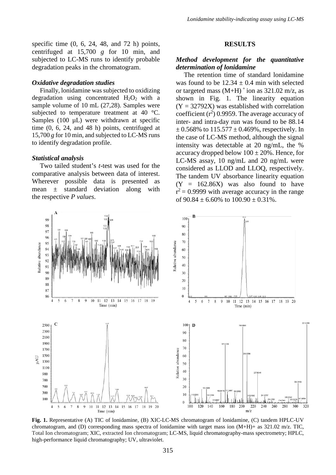specific time (0, 6, 24, 48, and 72 h) points, centrifuged at 15,700 *g* for 10 min, and subjected to LC-MS runs to identify probable degradation peaks in the chromatogram.

### *Oxidative degradation studies*

Finally, lonidamine was subjected to oxidizing degradation using concentrated  $H_2O_2$  with a sample volume of 10 mL (27,28). Samples were subjected to temperature treatment at 40 °C. Samples  $(100 \mu L)$  were withdrawn at specific time (0, 6, 24, and 48 h) points, centrifuged at 15,700 *g* for 10 min, and subjected to LC-MS runs to identify degradation profile.

#### *Statistical analysis*

Two tailed student's *t*-test was used for the comparative analysis between data of interest. Wherever possible data is presented as mean ± standard deviation along with the respective *P values*.

#### **RESULTS**

# *Method development for the quantitative determination of lonidamine*

The retention time of standard lonidamine was found to be  $12.34 \pm 0.4$  min with selected or targeted mass  $(M+H)$ <sup>+</sup> ion as 321.02 m/z, as shown in Fig. 1. The linearity equation  $(Y = 32792X)$  was established with correlation coefficient  $(r^2)$  0.9959. The average accuracy of inter- and intra-day run was found to be 88.14  $\pm$  0.568% to 115.577  $\pm$  0.469%, respectively. In the case of LC-MS method, although the signal intensity was detectable at 20 ng/mL, the % accuracy dropped below  $100 \pm 20\%$ . Hence, for LC-MS assay, 10 ng/mL and 20 ng/mL were considered as LLOD and LLOQ, respectively. The tandem UV absorbance linearity equation  $(Y = 162.86X)$  was also found to have  $r^2$  = 0.9999 with average accuracy in the range of  $90.84 \pm 6.60\%$  to  $100.90 \pm 0.31\%$ .



**Fig. 1.** Representative (A) TIC of lonidamine, (B) XIC-LC-MS chromatogram of lonidamine, (C) tandem HPLC-UV chromatogram, and (D) corresponding mass spectra of lonidamine with target mass ion (M+H)+ as 321.02 m/z. TIC, Total Ion chromatogram; XIC, extracted Ion chromatogram; LC-MS, liquid chromatography-mass spectrometry; HPLC, high-performance liquid chromatography; UV, ultraviolet.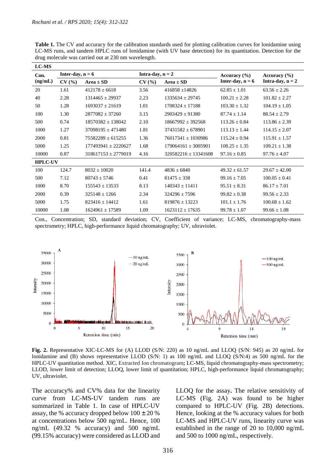**Table 1.** The CV and accuracy for the calibration standards used for plotting calibration curves for lonidamine using LC-MS runs, and tandem HPLC runs of lonidamine (with UV base detection) for its quantitation. Detection for the drug molecule was carried out at 230 nm wavelength.

| <b>LC-MS</b>   |                    |                         |                    |                          |                    |                    |
|----------------|--------------------|-------------------------|--------------------|--------------------------|--------------------|--------------------|
| Con.           | Inter-day, $n = 6$ |                         | Intra-day, $n = 2$ |                          | Accuracy $(\% )$   | Accuracy $(\% )$   |
| (ng/mL)        | CV(%)              | $Area \pm SD$           | CV(%)              | $Area \pm SD$            | Inter-day, $n = 6$ | Intra-day, $n = 2$ |
| 20             | 1.61               | $412178 \pm 6618$       | 3.56               | $416858 \pm 14826$       | $62.85 \pm 1.01$   | $63.56 \pm 2.26$   |
| 40             | 2.28               | $1314465 \pm 29937$     | 2.23               | $1335634 \pm 29745$      | $100.21 \pm 2.28$  | $101.82 \pm 2.27$  |
| 50             | 1.28               | $1693037 \pm 21619$     | 1.01               | $1708324 \pm 17188$      | $103.30 \pm 1.32$  | $104.19 \pm 1.05$  |
| 100            | 1.30               | $2877082 \pm 37260$     | 3.15               | $2903429 \pm 91380$      | $87.74 \pm 1.14$   | $88.54 \pm 2.79$   |
| 500            | 0.74               | $18570382 + 138042$     | 2.10               | $18667992 \pm 392568$    | $113.26 \pm 0.84$  | $113.86 \pm 2.39$  |
| 1000           | 1.27               | $37098195 \pm 471480$   | 1.81               | $37431582 \pm 678901$    | $113.13 \pm 1.44$  | $114.15 \pm 2.07$  |
| 2000           | 0.81               | $75582289 \pm 615255$   | 1.36               | 76017341 + 1030986       | $115.24 + 0.94$    | $115.91 \pm 1.57$  |
| 5000           | 1.25               | $177493941 \pm 2220627$ | 1.68               | $179064161 \pm 3005901$  | $108.25 \pm 1.35$  | $109.21 \pm 1.38$  |
| 10000          | 0.87               | $318617153 \pm 2779019$ | 4.16               | $320582216 \pm 13341608$ | $97.16 \pm 0.85$   | $97.76 \pm 4.07$   |
| <b>HPLC-UV</b> |                    |                         |                    |                          |                    |                    |
| 100            | 124.7              | $8032 + 10020$          | 141.4              | $4836 + 6840$            | $49.32 \pm 61.57$  | $29.67 + 42.00$    |
| 500            | 7.12               | $80743 \pm 5746$        | 0.41               | $81475 \pm 338$          | $99.16 + 7.05$     | $100.05 \pm 0.41$  |
| 1000           | 8.70               | $155543 \pm 13533$      | 8.13               | $140343 \pm 11411$       | $95.51 \pm 8.31$   | $86.17 \pm 7.01$   |
| 2000           | 0.39               | $325148 \pm 1266$       | 2.34               | $324296 + 7596$          | $99.82 \pm 0.38$   | $99.56 \pm 2.33$   |
| 5000           | 1.75               | $823416 + 14412$        | 1.61               | $819876 + 13223$         | $101.1 \pm 1.76$   | $100.68 \pm 1.62$  |
| 10000          | 1.08               | $1624961 \pm 17589$     | 1.09               | $1623112 \pm 17635$      | $99.78 \pm 1.07$   | $99.66 \pm 1.08$   |

Con., Concentration; SD, standard deviation; CV, Coefficient of variance; LC-MS, chromatography-mass spectrometry; HPLC, high-performance liquid chromatography; UV, ultraviolet.



**Fig. 2.** Representative XIC-LC-MS for (A) LLOD (S/N: 220) as 10 ng/mL and LLOQ (S/N: 945) as 20 ng/mL for lonidamine and (B) shows representative LLOD (S/N: 1) as 100 ng/mL and LLOQ (S/N:4) as 500 ng/mL for the HPLC-UV quantitation method. XIC, Extracted Ion chromatogram**;** LC-MS, liquid chromatography-mass spectrometry; LLOD, lower limit of detection; LLOQ, lower limit of quantitation; HPLC, high-performance liquid chromatography; UV, ultraviolet.

The accuracy% and CV% data for the linearity curve from LC-MS-UV tandem runs are summarized in Table 1. In case of HPLC-UV assay, the % accuracy dropped below  $100 \pm 20$  % at concentrations below 500 ng/mL. Hence, 100 ng/mL (49.32 % accuracy) and 500 ng/mL (99.15% accuracy) were considered as LLOD and LLOQ for the assay**.** The relative sensitivity of LC-MS (Fig. 2A) was found to be higher compared to HPLC-UV (Fig. 2B) detections. Hence, looking at the % accuracy values for both LC-MS and HPLC-UV runs, linearity curve was established in the range of 20 to 10,000 ng/mL and 500 to 1000 ng/mL, respectively.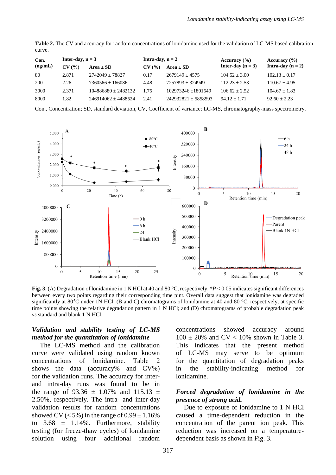| Con.<br>(ng/mL) | Inter-day, $n = 3$ |                       | Intra-day, $n = 2$ |                       | Accuracy $(\% )$    | Accuracy $(\% )$    |
|-----------------|--------------------|-----------------------|--------------------|-----------------------|---------------------|---------------------|
|                 | CV(%)              | $Area \pm SD$         | CV(%)              | $Area \pm SD$         | Inter-day $(n = 3)$ | Intra-day $(n = 2)$ |
| -80             | 2.871              | $2742049 + 78827$     | 0.17               | $2679149 + 4575$      | $104.52 + 3.00$     | $102.13 + 0.17$     |
| 200             | 2.26               | $7360566 + 166086$    | 4.48               | $7257893 + 324949$    | $112.23 + 2.53$     | $110.67 + 4.95$     |
| 3000            | 2.371              | $104886880 + 2482132$ | 1.75               | 102973246 +1801549    | $106.62 + 2.52$     | $104.67 + 1.83$     |
| 8000            | 1.82               | $246914062 + 4488524$ | 2.41               | $242932821 + 5858593$ | $94.12 + 1.71$      | $92.60 + 2.23$      |

**Table 2.** The CV and accuracy for random concentrations of lonidamine used for the validation of LC-MS based calibration curve.

Con., Concentration; SD, standard deviation, CV, Coefficient of variance; LC-MS, chromatography-mass spectrometry.



**Fig. 3.** (A) Degradation of lonidamine in 1 N HCl at 40 and 80 °C, respectively. \**P* < 0.05 indicates significant differences between every two points regarding their corresponding time pint. Overall data suggest that lonidamine was degraded significantly at 80°C under 1N HCl; (B and C) chromatograms of lonidamine at 40 and 80 °C, respectively, at specific time points showing the relative degradation pattern in 1 N HCl; and (D) chromatograms of probable degradation peak *vs* standard and blank 1 N HCl.

# *Validation and stability testing of LC-MS method for the quantitation of lonidamine*

The LC-MS method and the calibration curve were validated using random known concentrations of lonidamine. Table 2 shows the data (accuracy% and CV%) for the validation runs. The accuracy for interand intra-day runs was found to be in the range of 93.36  $\pm$  1.07% and 115.13  $\pm$ 2.50%, respectively. The intra- and inter-day validation results for random concentrations showed CV ( $<$  5%) in the range of  $0.99 \pm 1.16$ % to  $3.68 \pm 1.14\%$ . Furthermore, stability testing (for freeze-thaw cycles) of lonidamine solution using four additional random

concentrations showed accuracy around  $100 \pm 20\%$  and CV < 10% shown in Table 3. This indicates that the present method of LC-MS may serve to be optimum for the quantitation of degradation peaks in the stability-indicating method for lonidamine.

# *Forced degradation of lonidamine in the presence of strong acid.*

Due to exposure of lonidamine to 1 N HCl caused a time-dependent reduction in the concentration of the parent ion peak. This reduction was increased on a temperaturedependent basis as shown in Fig. 3.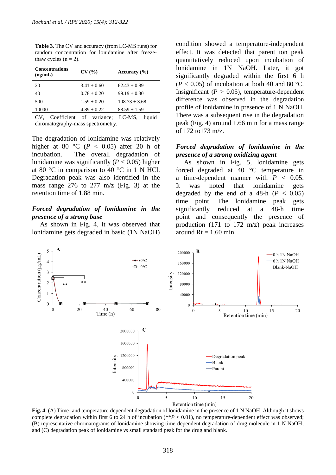| <b>Concentrations</b><br>(ng/mL) | CV(%)           | Accuracy $(\% )$ |
|----------------------------------|-----------------|------------------|
| 20                               | $3.41 + 0.60$   | $62.43 + 0.89$   |
| 40                               | $0.78 + 0.20$   | $99.19 + 0.30$   |
| 500                              | $1.59 + 0.20$   | $108.73 + 3.68$  |
| 10000                            | $4.89 \pm 0.22$ | $88.59 \pm 1.59$ |
|                                  |                 |                  |

**Table 3.** The CV and accuracy (from LC-MS runs) for random concentration for lonidamine after freezethaw cycles  $(n = 2)$ .

CV, Coefficient of variance; LC-MS, liquid chromatography-mass spectrometry.

The degradation of lonidamine was relatively higher at 80 °C ( $P < 0.05$ ) after 20 h of incubation. The overall degradation of lonidamine was significantly  $(P < 0.05)$  higher at 80 °C in comparison to 40 °C in 1 N HCl. Degradation peak was also identified in the mass range 276 to 277 m/z (Fig. 3) at the retention time of 1.88 min.

# *Forced degradation of lonidamine in the presence of a strong base*

As shown in Fig. 4, it was observed that lonidamine gets degraded in basic (1N NaOH) condition showed a temperature-independent effect. It was detected that parent ion peak quantitatively reduced upon incubation of lonidamine in 1N NaOH. Later, it got significantly degraded within the first 6 h  $(P < 0.05)$  of incubation at both 40 and 80 °C. Insignificant ( $P > 0.05$ ), temperature-dependent difference was observed in the degradation profile of lonidamine in presence of 1 N NaOH. There was a subsequent rise in the degradation peak (Fig. 4) around 1.66 min for a mass range of 172 to173 m/z.

### *Forced degradation of lonidamine in the presence of a strong oxidizing agent*

As shown in Fig. 5, lonidamine gets forced degraded at 40 °C temperature in a time-dependent manner with  $P < 0.05$ . It was noted that lonidamine gets degraded by the end of a  $48-h$  ( $P < 0.05$ ) time point. The lonidamine peak gets significantly reduced at a 48-h time point and consequently the presence of production (171 to 172 m/z) peak increases around  $Rt = 1.60$  min.



**Fig. 4.** (A) Time- and temperature-dependent degradation of lonidamine in the presence of 1 N NaOH. Although it shows complete degradation within first 6 to 24 h of incubation (\*\**P* < 0.01), no temperature-dependent effect was observed; (B) representative chromatograms of lonidamine showing time-dependent degradation of drug molecule in 1 N NaOH; and (C) degradation peak of lonidamine *vs* small standard peak for the drug and blank.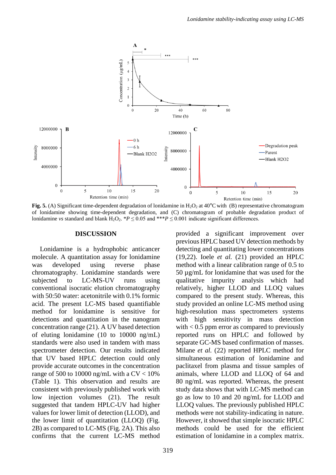

**Fig. 5.** (A) Significant time-dependent degradation of lonidamine in  $H_2O_2$  at 40°C with (B) representative chromatogram of lonidamine showing time-dependent degradation, and (C) chromatogram of probable degradation product of lonidamine *vs* standard and blank H<sub>2</sub>O<sub>2</sub>. \**P* ≤ 0.05 and \*\*\**P* ≤ 0.001 indicate significant differences.

#### **DISCUSSION**

Lonidamine is a hydrophobic anticancer molecule. A quantitation assay for lonidamine was developed using reverse phase chromatography. Lonidamine standards were subjected to LC-MS-UV runs using conventional isocratic elution chromatography with 50:50 water: acetonitrile with 0.1% formic acid. The present LC-MS based quantifiable method for lonidamine is sensitive for detections and quantitation in the nanogram concentration range (21). A UV based detection of eluting lonidamine (10 to 10000 ng/mL) standards were also used in tandem with mass spectrometer detection. Our results indicated that UV based HPLC detection could only provide accurate outcomes in the concentration range of 500 to 10000 ng/mL with a  $CV < 10\%$ (Table 1). This observation and results are consistent with previously published work with low injection volumes (21). The result suggested that tandem HPLC-UV had higher values for lower limit of detection (LLOD), and the lower limit of quantitation (LLOQ) (Fig. 2B) as compared to LC-MS (Fig. 2A). This also confirms that the current LC-MS method

provided a significant improvement over previous HPLC based UV detection methods by detecting and quantitating lower concentrations (19,22). Ioele *et al.* (21) provided an HPLC method with a linear calibration range of 0.5 to 50 µg/mL for lonidamine that was used for the qualitative impurity analysis which had relatively, higher LLOD and LLOQ values compared to the present study. Whereas, this study provided an online LC-MS method using high-resolution mass spectrometers systems with high sensitivity in mass detection with  $< 0.5$  ppm error as compared to previously reported runs on HPLC and followed by separate GC-MS based confirmation of masses. Milane *et al.* (22) reported HPLC method for simultaneous estimation of lonidamine and paclitaxel from plasma and tissue samples of animals, where LLOD and LLOQ of 64 and 80 ng/mL was reported. Whereas, the present study data shows that with LC-MS method can go as low to 10 and 20 ng/mL for LLOD and LLOQ values. The previously published HPLC methods were not stability-indicating in nature. However, it showed that simple isocratic HPLC methods could be used for the efficient estimation of lonidamine in a complex matrix.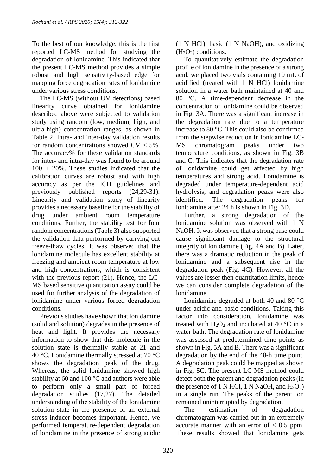To the best of our knowledge, this is the first reported LC-MS method for studying the degradation of lonidamine. This indicated that the present LC-MS method provides a simple robust and high sensitivity-based edge for mapping force degradation rates of lonidamine under various stress conditions.

The LC-MS (without UV detections) based linearity curve obtained for lonidamine described above were subjected to validation study using random (low, medium, high, and ultra-high) concentration ranges, as shown in Table 2. Intra- and inter-day validation results for random concentrations showed  $CV < 5\%$ . The accuracy% for these validation standards for inter- and intra-day was found to be around  $100 \pm 20\%$ . These studies indicated that the calibration curves are robust and with high accuracy as per the ICH guidelines and previously published reports (24,29-31). Linearity and validation study of linearity provides a necessary baseline for the stability of drug under ambient room temperature conditions. Further, the stability test for four random concentrations (Table 3) also supported the validation data performed by carrying out freeze-thaw cycles. It was observed that the lonidamine molecule has excellent stability at freezing and ambient room temperature at low and high concentrations, which is consistent with the previous report (21). Hence, the LC-MS based sensitive quantitation assay could be used for further analysis of the degradation of lonidamine under various forced degradation conditions.

Previous studies have shown that lonidamine (solid and solution) degrades in the presence of heat and light. It provides the necessary information to show that this molecule in the solution state is thermally stable at 21 and 40 °C. Lonidamine thermally stressed at 70 °C shows the degradation peak of the drug. Whereas, the solid lonidamine showed high stability at 60 and 100 °C and authors were able to perform only a small part of forced degradation studies (17,27). The detailed understanding of the stability of the lonidamine solution state in the presence of an external stress inducer becomes important. Hence, we performed temperature-dependent degradation of lonidamine in the presence of strong acidic

(1 N HCl), basic (1 N NaOH), and oxidizing  $(H<sub>2</sub>O<sub>2</sub>)$  conditions.

To quantitatively estimate the degradation profile of lonidamine in the presence of a strong acid, we placed two vials containing 10 mL of acidified (treated with 1 N HCl) lonidamine solution in a water bath maintained at 40 and 80 °C. A time-dependent decrease in the concentration of lonidamine could be observed in Fig. 3A. There was a significant increase in the degradation rate due to a temperature increase to 80 °C. This could also be confirmed from the stepwise reduction in lonidamine LC-MS chromatogram peaks under two temperature conditions, as shown in Fig. 3B and C. This indicates that the degradation rate of lonidamine could get affected by high temperatures and strong acid. Lonidamine is degraded under temperature-dependent acid hydrolysis, and degradation peaks were also identified. The degradation peaks for lonidamine after 24 h is shown in Fig. 3D.

Further, a strong degradation of the lonidamine solution was observed with 1 N NaOH. It was observed that a strong base could cause significant damage to the structural integrity of lonidamine (Fig. 4A and B). Later, there was a dramatic reduction in the peak of lonidamine and a subsequent rise in the degradation peak (Fig. 4C). However, all the values are lesser then quantitation limits, hence we can consider complete degradation of the lonidamine.

Lonidamine degraded at both 40 and 80 °C under acidic and basic conditions. Taking this factor into consideration, lonidamine was treated with  $H_2O_2$  and incubated at 40 °C in a water bath. The degradation rate of lonidamine was assessed at predetermined time points as shown in Fig. 5A and B. There was a significant degradation by the end of the 48-h time point. A degradation peak could be mapped as shown in Fig. 5C. The present LC-MS method could detect both the parent and degradation peaks (in the presence of 1 N HCl, 1 N NaOH, and  $H_2O_2$ ) in a single run. The peaks of the parent ion remained uninterrupted by degradation.

The estimation of degradation chromatogram was carried out in an extremely accurate manner with an error of  $< 0.5$  ppm. These results showed that lonidamine gets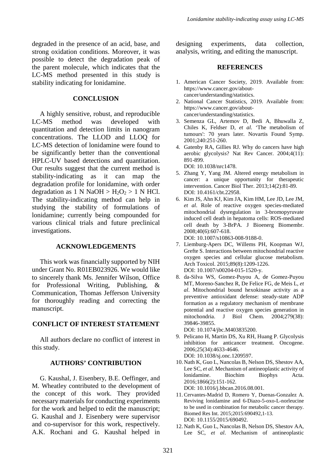degraded in the presence of an acid, base, and strong oxidation conditions. Moreover, it was possible to detect the degradation peak of the parent molecule, which indicates that the LC-MS method presented in this study is stability indicating for lonidamine.

# **CONCLUSION**

A highly sensitive, robust, and reproducible LC-MS method was developed with quantitation and detection limits in nanogram concentrations. The LLOD and LLOQ for LC-MS detection of lonidamine were found to be significantly better than the conventional HPLC-UV based detections and quantitation. Our results suggest that the current method is stability-indicating as it can map the degradation profile for lonidamine, with order degradation as 1 N NaOH >  $H_2O_2 > 1$  N HCl. The stability-indicating method can help in studying the stability of formulations of lonidamine; currently being compounded for various clinical trials and future preclinical investigations.

### **ACKNOWLEDGEMENTS**

This work was financially supported by NIH under Grant No. R01EB023926. We would like to sincerely thank Ms. Jennifer Wilson, Office for Professional Writing, Publishing, & Communication, Thomas Jefferson University for thoroughly reading and correcting the manuscript.

# **CONFLICT OF INTEREST STATEMENT**

All authors declare no conflict of interest in this study.

# **AUTHORS' CONTRIBUTION**

G. Kaushal, J. Eisenbery, B.E. Oeffinger, and M. Wheatley contributed to the development of the concept of this work. They provided necessary materials for conducting experiments for the work and helped to edit the manuscript; G. Kaushal and J. Eisenbery were supervisor and co-supervisor for this work, respectively. A.K. Rochani and G. Kaushal helped in designing experiments, data collection, analysis, writing, and editing the manuscript.

### **REFERENCES**

- 1. American Cancer Society, 2019. Available from: [https://www.cancer.gov/about](https://www.cancer.gov/about-cancer/understanding/statistics)[cancer/understanding/statistics.](https://www.cancer.gov/about-cancer/understanding/statistics)
- 2. National Cancer Statistics, 2019. Available from: [https://www.cancer.gov/about](https://www.cancer.gov/about-cancer/understanding/statistics)[cancer/understanding/statistics.](https://www.cancer.gov/about-cancer/understanding/statistics)
- 3. Semenza GL, Artemov D, Bedi A, Bhuwalla Z, Chiles K, Feldser D, *et al*. 'The metabolism of tumours': 70 years later. Novartis Found Symp. 2001;240:251-260.
- 4. Gatenby RA, Gillies RJ. Why do cancers have high aerobic glycolysis? Nat Rev Cancer. 2004;4(11): 891-899. DOI: 10.1038/nrc1478.
- 5. Zhang Y, Yang JM. Altered energy metabolism in cancer: a unique opportunity for therapeutic intervention. Cancer Biol Ther. 2013;14(2):81-89. DOI: 10.4161/cbt.22958.
- 6. Kim JS, Ahn KJ, Kim JA, Kim HM, Lee JD, Lee JM, *et al*. Role of reactive oxygen species-mediated mitochondrial dysregulation in 3-bromopyruvate induced cell death in hepatoma cells: ROS-mediated cell death by 3-BrPA. J Bioenerg Biomembr. 2008;40(6):607-618. DOI: 10.1007/s10863-008-9188-0.
- 7. Liemburg-Apers DC, Willems PH, Koopman WJ, Grefte S. Interactions between mitochondrial reactive oxygen species and cellular glucose metabolism. Arch Toxicol. 2015;89(8):1209-1226. DOI: 10.1007/s00204-015-1520-y.
- 8. da-Silva WS, Gomez-Puyou A, de Gomez-Puyou MT, Moreno-Sanchez R, De Felice FG, de Meis L, *et al*. Mitochondrial bound hexokinase activity as a preventive antioxidant defense: steady-state ADP formation as a regulatory mechanism of membrane potential and reactive oxygen species generation in mitochondria. J Biol Chem. 2004;279(38): 39846-39855.

DOI: 10.1074/jbc.M403835200.

- 9. Pelicano H, Martin DS, Xu RH, Huang P. Glycolysis inhibition for anticancer treatment. Oncogene. 2006;25(34):4633-4646. DOI: 10.1038/sj.onc.1209597.
- 10. Nath K, Guo L, Nancolas B, Nelson DS, Shestov AA, Lee SC, *et al*. Mechanism of antineoplastic activity of lonidamine. Biochim Biophys Acta. 2016;1866(2):151-162.

DOI: 10.1016/j.bbcan.2016.08.001.

- 11. Cervantes-Madrid D, Romero Y, Duenas-Gonzalez A. Reviving lonidamine and 6-Diazo-5-oxo-L-norleucine to be used in combination for metabolic cancer therapy. Biomed Res Int. 2015;2015:690492,1-13. DOI: 10.1155/2015/690492.
- 12. Nath K, Guo L, Nancolas B, Nelson DS, Shestov AA, Lee SC, *et al*. Mechanism of antineoplastic